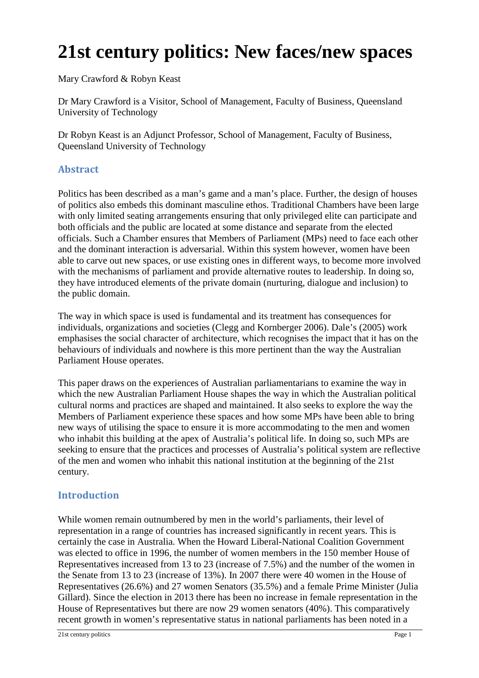# **21st century politics: New faces/new spaces**

Mary Crawford & Robyn Keast

Dr Mary Crawford is a Visitor, School of Management, Faculty of Business, Queensland University of Technology

Dr Robyn Keast is an Adjunct Professor, School of Management, Faculty of Business, Queensland University of Technology

# **Abstract**

Politics has been described as a man's game and a man's place. Further, the design of houses of politics also embeds this dominant masculine ethos. Traditional Chambers have been large with only limited seating arrangements ensuring that only privileged elite can participate and both officials and the public are located at some distance and separate from the elected officials. Such a Chamber ensures that Members of Parliament (MPs) need to face each other and the dominant interaction is adversarial. Within this system however, women have been able to carve out new spaces, or use existing ones in different ways, to become more involved with the mechanisms of parliament and provide alternative routes to leadership. In doing so, they have introduced elements of the private domain (nurturing, dialogue and inclusion) to the public domain.

The way in which space is used is fundamental and its treatment has consequences for individuals, organizations and societies (Clegg and Kornberger 2006). Dale's (2005) work emphasises the social character of architecture, which recognises the impact that it has on the behaviours of individuals and nowhere is this more pertinent than the way the Australian Parliament House operates.

This paper draws on the experiences of Australian parliamentarians to examine the way in which the new Australian Parliament House shapes the way in which the Australian political cultural norms and practices are shaped and maintained. It also seeks to explore the way the Members of Parliament experience these spaces and how some MPs have been able to bring new ways of utilising the space to ensure it is more accommodating to the men and women who inhabit this building at the apex of Australia's political life. In doing so, such MPs are seeking to ensure that the practices and processes of Australia's political system are reflective of the men and women who inhabit this national institution at the beginning of the 21st century.

# **Introduction**

While women remain outnumbered by men in the world's parliaments, their level of representation in a range of countries has increased significantly in recent years. This is certainly the case in Australia. When the Howard Liberal-National Coalition Government was elected to office in 1996, the number of women members in the 150 member House of Representatives increased from 13 to 23 (increase of 7.5%) and the number of the women in the Senate from 13 to 23 (increase of 13%). In 2007 there were 40 women in the House of Representatives (26.6%) and 27 women Senators (35.5%) and a female Prime Minister (Julia Gillard). Since the election in 2013 there has been no increase in female representation in the House of Representatives but there are now 29 women senators (40%). This comparatively recent growth in women's representative status in national parliaments has been noted in a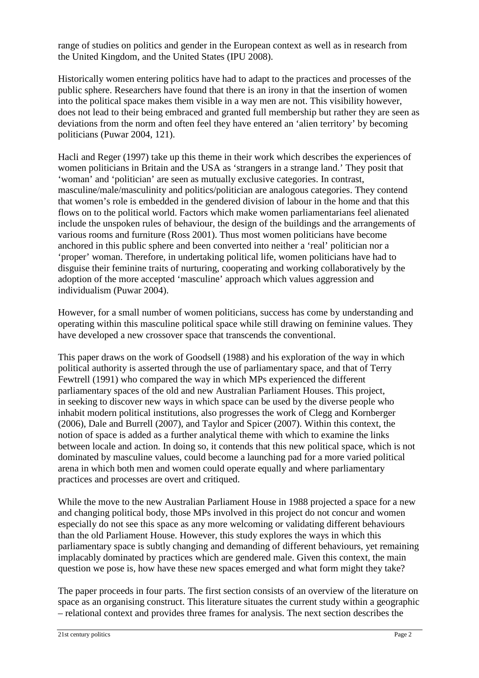range of studies on politics and gender in the European context as well as in research from the United Kingdom, and the United States (IPU 2008).

Historically women entering politics have had to adapt to the practices and processes of the public sphere. Researchers have found that there is an irony in that the insertion of women into the political space makes them visible in a way men are not. This visibility however, does not lead to their being embraced and granted full membership but rather they are seen as deviations from the norm and often feel they have entered an 'alien territory' by becoming politicians (Puwar 2004, 121).

Hacli and Reger (1997) take up this theme in their work which describes the experiences of women politicians in Britain and the USA as 'strangers in a strange land.' They posit that 'woman' and 'politician' are seen as mutually exclusive categories. In contrast, masculine/male/masculinity and politics/politician are analogous categories. They contend that women's role is embedded in the gendered division of labour in the home and that this flows on to the political world. Factors which make women parliamentarians feel alienated include the unspoken rules of behaviour, the design of the buildings and the arrangements of various rooms and furniture (Ross 2001). Thus most women politicians have become anchored in this public sphere and been converted into neither a 'real' politician nor a 'proper' woman. Therefore, in undertaking political life, women politicians have had to disguise their feminine traits of nurturing, cooperating and working collaboratively by the adoption of the more accepted 'masculine' approach which values aggression and individualism (Puwar 2004).

However, for a small number of women politicians, success has come by understanding and operating within this masculine political space while still drawing on feminine values. They have developed a new crossover space that transcends the conventional.

This paper draws on the work of Goodsell (1988) and his exploration of the way in which political authority is asserted through the use of parliamentary space, and that of Terry Fewtrell (1991) who compared the way in which MPs experienced the different parliamentary spaces of the old and new Australian Parliament Houses. This project, in seeking to discover new ways in which space can be used by the diverse people who inhabit modern political institutions, also progresses the work of Clegg and Kornberger (2006), Dale and Burrell (2007), and Taylor and Spicer (2007). Within this context, the notion of space is added as a further analytical theme with which to examine the links between locale and action. In doing so, it contends that this new political space, which is not dominated by masculine values, could become a launching pad for a more varied political arena in which both men and women could operate equally and where parliamentary practices and processes are overt and critiqued.

While the move to the new Australian Parliament House in 1988 projected a space for a new and changing political body, those MPs involved in this project do not concur and women especially do not see this space as any more welcoming or validating different behaviours than the old Parliament House. However, this study explores the ways in which this parliamentary space is subtly changing and demanding of different behaviours, yet remaining implacably dominated by practices which are gendered male. Given this context, the main question we pose is, how have these new spaces emerged and what form might they take?

The paper proceeds in four parts. The first section consists of an overview of the literature on space as an organising construct. This literature situates the current study within a geographic – relational context and provides three frames for analysis. The next section describes the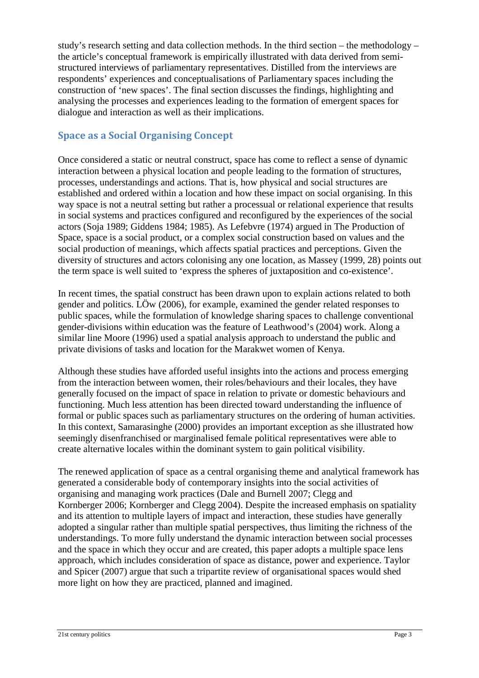study's research setting and data collection methods. In the third section – the methodology – the article's conceptual framework is empirically illustrated with data derived from semistructured interviews of parliamentary representatives. Distilled from the interviews are respondents' experiences and conceptualisations of Parliamentary spaces including the construction of 'new spaces'. The final section discusses the findings, highlighting and analysing the processes and experiences leading to the formation of emergent spaces for dialogue and interaction as well as their implications.

# **Space as a Social Organising Concept**

Once considered a static or neutral construct, space has come to reflect a sense of dynamic interaction between a physical location and people leading to the formation of structures, processes, understandings and actions. That is, how physical and social structures are established and ordered within a location and how these impact on social organising. In this way space is not a neutral setting but rather a processual or relational experience that results in social systems and practices configured and reconfigured by the experiences of the social actors (Soja 1989; Giddens 1984; 1985). As Lefebvre (1974) argued in The Production of Space, space is a social product, or a complex social construction based on values and the social production of meanings, which affects spatial practices and perceptions. Given the diversity of structures and actors colonising any one location, as Massey (1999, 28) points out the term space is well suited to 'express the spheres of juxtaposition and co-existence'.

In recent times, the spatial construct has been drawn upon to explain actions related to both gender and politics. LÖw (2006), for example, examined the gender related responses to public spaces, while the formulation of knowledge sharing spaces to challenge conventional gender-divisions within education was the feature of Leathwood's (2004) work. Along a similar line Moore (1996) used a spatial analysis approach to understand the public and private divisions of tasks and location for the Marakwet women of Kenya.

Although these studies have afforded useful insights into the actions and process emerging from the interaction between women, their roles/behaviours and their locales, they have generally focused on the impact of space in relation to private or domestic behaviours and functioning. Much less attention has been directed toward understanding the influence of formal or public spaces such as parliamentary structures on the ordering of human activities. In this context, Samarasinghe (2000) provides an important exception as she illustrated how seemingly disenfranchised or marginalised female political representatives were able to create alternative locales within the dominant system to gain political visibility.

The renewed application of space as a central organising theme and analytical framework has generated a considerable body of contemporary insights into the social activities of organising and managing work practices (Dale and Burnell 2007; Clegg and Kornberger 2006; Kornberger and Clegg 2004). Despite the increased emphasis on spatiality and its attention to multiple layers of impact and interaction, these studies have generally adopted a singular rather than multiple spatial perspectives, thus limiting the richness of the understandings. To more fully understand the dynamic interaction between social processes and the space in which they occur and are created, this paper adopts a multiple space lens approach, which includes consideration of space as distance, power and experience. Taylor and Spicer (2007) argue that such a tripartite review of organisational spaces would shed more light on how they are practiced, planned and imagined.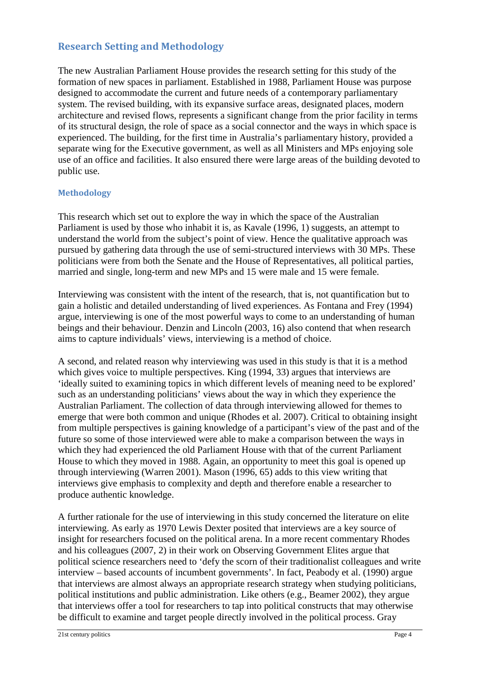### **Research Setting and Methodology**

The new Australian Parliament House provides the research setting for this study of the formation of new spaces in parliament. Established in 1988, Parliament House was purpose designed to accommodate the current and future needs of a contemporary parliamentary system. The revised building, with its expansive surface areas, designated places, modern architecture and revised flows, represents a significant change from the prior facility in terms of its structural design, the role of space as a social connector and the ways in which space is experienced. The building, for the first time in Australia's parliamentary history, provided a separate wing for the Executive government, as well as all Ministers and MPs enjoying sole use of an office and facilities. It also ensured there were large areas of the building devoted to public use.

#### **Methodology**

This research which set out to explore the way in which the space of the Australian Parliament is used by those who inhabit it is, as Kavale (1996, 1) suggests, an attempt to understand the world from the subject's point of view. Hence the qualitative approach was pursued by gathering data through the use of semi-structured interviews with 30 MPs. These politicians were from both the Senate and the House of Representatives, all political parties, married and single, long-term and new MPs and 15 were male and 15 were female.

Interviewing was consistent with the intent of the research, that is, not quantification but to gain a holistic and detailed understanding of lived experiences. As Fontana and Frey (1994) argue, interviewing is one of the most powerful ways to come to an understanding of human beings and their behaviour. Denzin and Lincoln (2003, 16) also contend that when research aims to capture individuals' views, interviewing is a method of choice.

A second, and related reason why interviewing was used in this study is that it is a method which gives voice to multiple perspectives. King (1994, 33) argues that interviews are 'ideally suited to examining topics in which different levels of meaning need to be explored' such as an understanding politicians' views about the way in which they experience the Australian Parliament. The collection of data through interviewing allowed for themes to emerge that were both common and unique (Rhodes et al. 2007). Critical to obtaining insight from multiple perspectives is gaining knowledge of a participant's view of the past and of the future so some of those interviewed were able to make a comparison between the ways in which they had experienced the old Parliament House with that of the current Parliament House to which they moved in 1988. Again, an opportunity to meet this goal is opened up through interviewing (Warren 2001). Mason (1996, 65) adds to this view writing that interviews give emphasis to complexity and depth and therefore enable a researcher to produce authentic knowledge.

A further rationale for the use of interviewing in this study concerned the literature on elite interviewing. As early as 1970 Lewis Dexter posited that interviews are a key source of insight for researchers focused on the political arena. In a more recent commentary Rhodes and his colleagues (2007, 2) in their work on Observing Government Elites argue that political science researchers need to 'defy the scorn of their traditionalist colleagues and write interview – based accounts of incumbent governments'. In fact, Peabody et al. (1990) argue that interviews are almost always an appropriate research strategy when studying politicians, political institutions and public administration. Like others (e.g., Beamer 2002), they argue that interviews offer a tool for researchers to tap into political constructs that may otherwise be difficult to examine and target people directly involved in the political process. Gray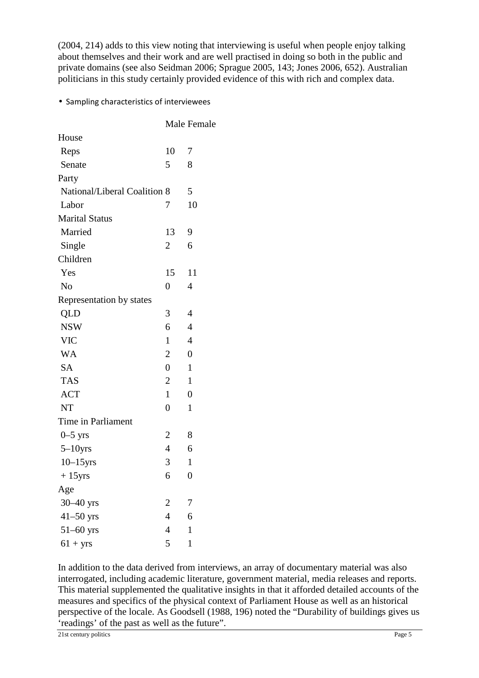(2004, 214) adds to this view noting that interviewing is useful when people enjoy talking about themselves and their work and are well practised in doing so both in the public and private domains (see also Seidman 2006; Sprague 2005, 143; Jones 2006, 652). Australian politicians in this study certainly provided evidence of this with rich and complex data.

#### • Sampling characteristics of interviewees

|                              |                | Male Female      |
|------------------------------|----------------|------------------|
| House                        |                |                  |
| Reps                         | 10             | 7                |
| Senate                       | 5              | 8                |
| Party                        |                |                  |
| National/Liberal Coalition 8 |                | 5                |
| Labor                        | 7              | 10               |
| <b>Marital Status</b>        |                |                  |
| Married                      | 13             | 9                |
| Single                       | $\overline{2}$ | 6                |
| Children                     |                |                  |
| Yes                          | 15             | 11               |
| N <sub>o</sub>               | 0              | 4                |
| Representation by states     |                |                  |
| QLD                          | 3              | 4                |
| <b>NSW</b>                   | 6              | $\overline{4}$   |
| <b>VIC</b>                   | $\mathbf{1}$   | $\overline{4}$   |
| <b>WA</b>                    | $\overline{2}$ | $\overline{0}$   |
| SA                           | $\overline{0}$ | $\mathbf{1}$     |
| <b>TAS</b>                   | $\overline{2}$ | $\mathbf{1}$     |
| <b>ACT</b>                   | $\mathbf{1}$   | $\overline{0}$   |
| <b>NT</b>                    | $\overline{0}$ | $\mathbf{1}$     |
| Time in Parliament           |                |                  |
| $0-5$ yrs                    | $\overline{2}$ | 8                |
| $5-10$ yrs                   | $\overline{4}$ | 6                |
| $10-15$ yrs                  | 3              | $\mathbf{1}$     |
| $+15$ yrs                    | 6              | $\boldsymbol{0}$ |
| Age                          |                |                  |
| $30-40$ yrs                  | $\overline{c}$ | 7                |
| $41-50$ yrs                  | $\overline{4}$ | 6                |
| $51 - 60$ yrs                | 4              | $\mathbf{1}$     |
| $61 + yrs$                   | 5              | $\mathbf{1}$     |

In addition to the data derived from interviews, an array of documentary material was also interrogated, including academic literature, government material, media releases and reports. This material supplemented the qualitative insights in that it afforded detailed accounts of the measures and specifics of the physical context of Parliament House as well as an historical perspective of the locale. As Goodsell (1988, 196) noted the "Durability of buildings gives us 'readings' of the past as well as the future".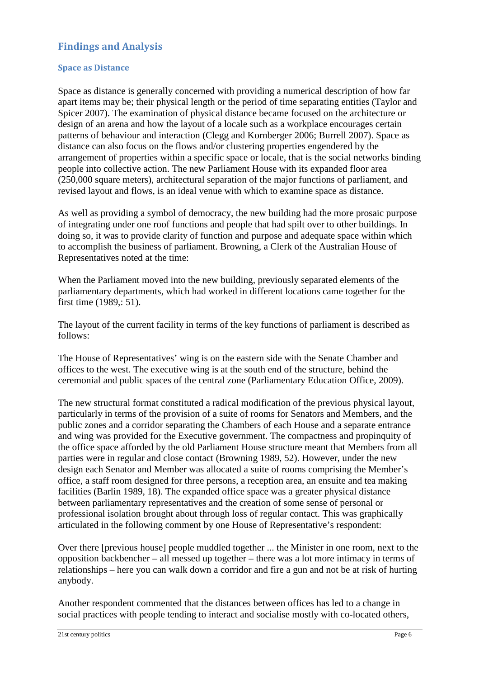## **Findings and Analysis**

#### **Space as Distance**

Space as distance is generally concerned with providing a numerical description of how far apart items may be; their physical length or the period of time separating entities (Taylor and Spicer 2007). The examination of physical distance became focused on the architecture or design of an arena and how the layout of a locale such as a workplace encourages certain patterns of behaviour and interaction (Clegg and Kornberger 2006; Burrell 2007). Space as distance can also focus on the flows and/or clustering properties engendered by the arrangement of properties within a specific space or locale, that is the social networks binding people into collective action. The new Parliament House with its expanded floor area (250,000 square meters), architectural separation of the major functions of parliament, and revised layout and flows, is an ideal venue with which to examine space as distance.

As well as providing a symbol of democracy, the new building had the more prosaic purpose of integrating under one roof functions and people that had spilt over to other buildings. In doing so, it was to provide clarity of function and purpose and adequate space within which to accomplish the business of parliament. Browning, a Clerk of the Australian House of Representatives noted at the time:

When the Parliament moved into the new building, previously separated elements of the parliamentary departments, which had worked in different locations came together for the first time (1989,: 51).

The layout of the current facility in terms of the key functions of parliament is described as follows:

The House of Representatives' wing is on the eastern side with the Senate Chamber and offices to the west. The executive wing is at the south end of the structure, behind the ceremonial and public spaces of the central zone (Parliamentary Education Office, 2009).

The new structural format constituted a radical modification of the previous physical layout, particularly in terms of the provision of a suite of rooms for Senators and Members, and the public zones and a corridor separating the Chambers of each House and a separate entrance and wing was provided for the Executive government. The compactness and propinquity of the office space afforded by the old Parliament House structure meant that Members from all parties were in regular and close contact (Browning 1989, 52). However, under the new design each Senator and Member was allocated a suite of rooms comprising the Member's office, a staff room designed for three persons, a reception area, an ensuite and tea making facilities (Barlin 1989, 18). The expanded office space was a greater physical distance between parliamentary representatives and the creation of some sense of personal or professional isolation brought about through loss of regular contact. This was graphically articulated in the following comment by one House of Representative's respondent:

Over there [previous house] people muddled together ... the Minister in one room, next to the opposition backbencher – all messed up together – there was a lot more intimacy in terms of relationships – here you can walk down a corridor and fire a gun and not be at risk of hurting anybody.

Another respondent commented that the distances between offices has led to a change in social practices with people tending to interact and socialise mostly with co-located others,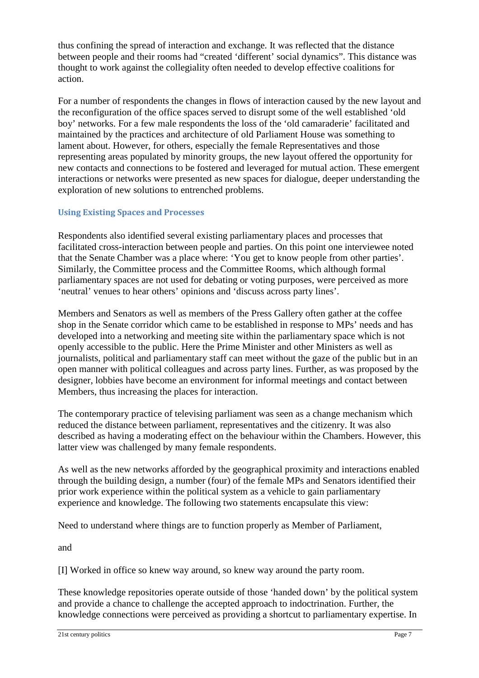thus confining the spread of interaction and exchange. It was reflected that the distance between people and their rooms had "created 'different' social dynamics". This distance was thought to work against the collegiality often needed to develop effective coalitions for action.

For a number of respondents the changes in flows of interaction caused by the new layout and the reconfiguration of the office spaces served to disrupt some of the well established 'old boy' networks. For a few male respondents the loss of the 'old camaraderie' facilitated and maintained by the practices and architecture of old Parliament House was something to lament about. However, for others, especially the female Representatives and those representing areas populated by minority groups, the new layout offered the opportunity for new contacts and connections to be fostered and leveraged for mutual action. These emergent interactions or networks were presented as new spaces for dialogue, deeper understanding the exploration of new solutions to entrenched problems.

#### **Using Existing Spaces and Processes**

Respondents also identified several existing parliamentary places and processes that facilitated cross-interaction between people and parties. On this point one interviewee noted that the Senate Chamber was a place where: 'You get to know people from other parties'. Similarly, the Committee process and the Committee Rooms, which although formal parliamentary spaces are not used for debating or voting purposes, were perceived as more 'neutral' venues to hear others' opinions and 'discuss across party lines'.

Members and Senators as well as members of the Press Gallery often gather at the coffee shop in the Senate corridor which came to be established in response to MPs' needs and has developed into a networking and meeting site within the parliamentary space which is not openly accessible to the public. Here the Prime Minister and other Ministers as well as journalists, political and parliamentary staff can meet without the gaze of the public but in an open manner with political colleagues and across party lines. Further, as was proposed by the designer, lobbies have become an environment for informal meetings and contact between Members, thus increasing the places for interaction.

The contemporary practice of televising parliament was seen as a change mechanism which reduced the distance between parliament, representatives and the citizenry. It was also described as having a moderating effect on the behaviour within the Chambers. However, this latter view was challenged by many female respondents.

As well as the new networks afforded by the geographical proximity and interactions enabled through the building design, a number (four) of the female MPs and Senators identified their prior work experience within the political system as a vehicle to gain parliamentary experience and knowledge. The following two statements encapsulate this view:

Need to understand where things are to function properly as Member of Parliament,

and

[I] Worked in office so knew way around, so knew way around the party room.

These knowledge repositories operate outside of those 'handed down' by the political system and provide a chance to challenge the accepted approach to indoctrination. Further, the knowledge connections were perceived as providing a shortcut to parliamentary expertise. In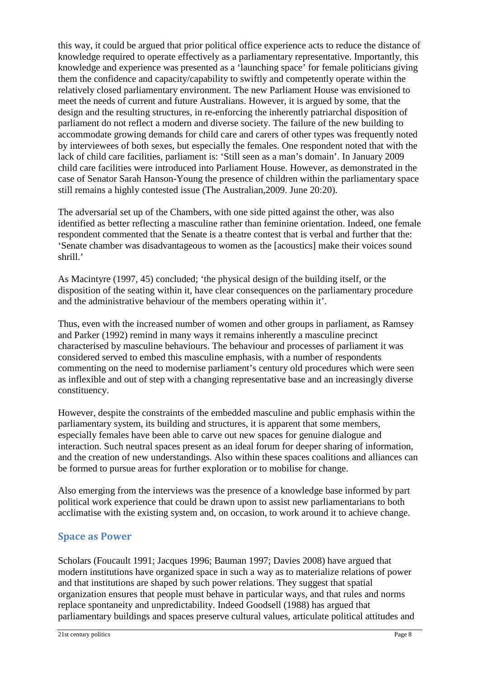this way, it could be argued that prior political office experience acts to reduce the distance of knowledge required to operate effectively as a parliamentary representative. Importantly, this knowledge and experience was presented as a 'launching space' for female politicians giving them the confidence and capacity/capability to swiftly and competently operate within the relatively closed parliamentary environment. The new Parliament House was envisioned to meet the needs of current and future Australians. However, it is argued by some, that the design and the resulting structures, in re-enforcing the inherently patriarchal disposition of parliament do not reflect a modern and diverse society. The failure of the new building to accommodate growing demands for child care and carers of other types was frequently noted by interviewees of both sexes, but especially the females. One respondent noted that with the lack of child care facilities, parliament is: 'Still seen as a man's domain'. In January 2009 child care facilities were introduced into Parliament House. However, as demonstrated in the case of Senator Sarah Hanson-Young the presence of children within the parliamentary space still remains a highly contested issue (The Australian,2009. June 20:20).

The adversarial set up of the Chambers, with one side pitted against the other, was also identified as better reflecting a masculine rather than feminine orientation. Indeed, one female respondent commented that the Senate is a theatre contest that is verbal and further that the: 'Senate chamber was disadvantageous to women as the [acoustics] make their voices sound shrill.'

As Macintyre (1997, 45) concluded; 'the physical design of the building itself, or the disposition of the seating within it, have clear consequences on the parliamentary procedure and the administrative behaviour of the members operating within it'.

Thus, even with the increased number of women and other groups in parliament, as Ramsey and Parker (1992) remind in many ways it remains inherently a masculine precinct characterised by masculine behaviours. The behaviour and processes of parliament it was considered served to embed this masculine emphasis, with a number of respondents commenting on the need to modernise parliament's century old procedures which were seen as inflexible and out of step with a changing representative base and an increasingly diverse constituency.

However, despite the constraints of the embedded masculine and public emphasis within the parliamentary system, its building and structures, it is apparent that some members, especially females have been able to carve out new spaces for genuine dialogue and interaction. Such neutral spaces present as an ideal forum for deeper sharing of information, and the creation of new understandings. Also within these spaces coalitions and alliances can be formed to pursue areas for further exploration or to mobilise for change.

Also emerging from the interviews was the presence of a knowledge base informed by part political work experience that could be drawn upon to assist new parliamentarians to both acclimatise with the existing system and, on occasion, to work around it to achieve change.

# **Space as Power**

Scholars (Foucault 1991; Jacques 1996; Bauman 1997; Davies 2008) have argued that modern institutions have organized space in such a way as to materialize relations of power and that institutions are shaped by such power relations. They suggest that spatial organization ensures that people must behave in particular ways, and that rules and norms replace spontaneity and unpredictability. Indeed Goodsell (1988) has argued that parliamentary buildings and spaces preserve cultural values, articulate political attitudes and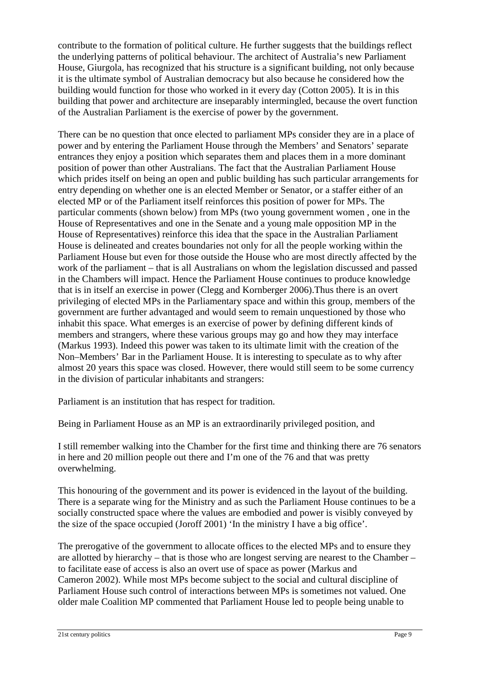contribute to the formation of political culture. He further suggests that the buildings reflect the underlying patterns of political behaviour. The architect of Australia's new Parliament House, Giurgola, has recognized that his structure is a significant building, not only because it is the ultimate symbol of Australian democracy but also because he considered how the building would function for those who worked in it every day (Cotton 2005). It is in this building that power and architecture are inseparably intermingled, because the overt function of the Australian Parliament is the exercise of power by the government.

There can be no question that once elected to parliament MPs consider they are in a place of power and by entering the Parliament House through the Members' and Senators' separate entrances they enjoy a position which separates them and places them in a more dominant position of power than other Australians. The fact that the Australian Parliament House which prides itself on being an open and public building has such particular arrangements for entry depending on whether one is an elected Member or Senator, or a staffer either of an elected MP or of the Parliament itself reinforces this position of power for MPs. The particular comments (shown below) from MPs (two young government women , one in the House of Representatives and one in the Senate and a young male opposition MP in the House of Representatives) reinforce this idea that the space in the Australian Parliament House is delineated and creates boundaries not only for all the people working within the Parliament House but even for those outside the House who are most directly affected by the work of the parliament – that is all Australians on whom the legislation discussed and passed in the Chambers will impact. Hence the Parliament House continues to produce knowledge that is in itself an exercise in power (Clegg and Kornberger 2006).Thus there is an overt privileging of elected MPs in the Parliamentary space and within this group, members of the government are further advantaged and would seem to remain unquestioned by those who inhabit this space. What emerges is an exercise of power by defining different kinds of members and strangers, where these various groups may go and how they may interface (Markus 1993). Indeed this power was taken to its ultimate limit with the creation of the Non–Members' Bar in the Parliament House. It is interesting to speculate as to why after almost 20 years this space was closed. However, there would still seem to be some currency in the division of particular inhabitants and strangers:

Parliament is an institution that has respect for tradition.

Being in Parliament House as an MP is an extraordinarily privileged position, and

I still remember walking into the Chamber for the first time and thinking there are 76 senators in here and 20 million people out there and I'm one of the 76 and that was pretty overwhelming.

This honouring of the government and its power is evidenced in the layout of the building. There is a separate wing for the Ministry and as such the Parliament House continues to be a socially constructed space where the values are embodied and power is visibly conveyed by the size of the space occupied (Joroff 2001) 'In the ministry I have a big office'.

The prerogative of the government to allocate offices to the elected MPs and to ensure they are allotted by hierarchy – that is those who are longest serving are nearest to the Chamber – to facilitate ease of access is also an overt use of space as power (Markus and Cameron 2002). While most MPs become subject to the social and cultural discipline of Parliament House such control of interactions between MPs is sometimes not valued. One older male Coalition MP commented that Parliament House led to people being unable to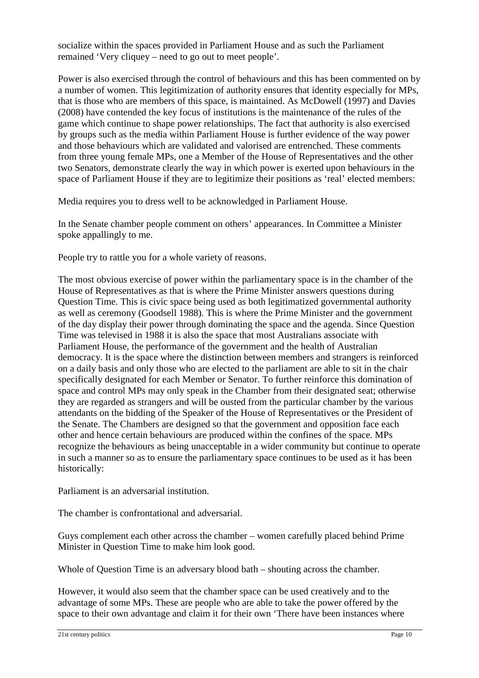socialize within the spaces provided in Parliament House and as such the Parliament remained 'Very cliquey – need to go out to meet people'.

Power is also exercised through the control of behaviours and this has been commented on by a number of women. This legitimization of authority ensures that identity especially for MPs, that is those who are members of this space, is maintained. As McDowell (1997) and Davies (2008) have contended the key focus of institutions is the maintenance of the rules of the game which continue to shape power relationships. The fact that authority is also exercised by groups such as the media within Parliament House is further evidence of the way power and those behaviours which are validated and valorised are entrenched. These comments from three young female MPs, one a Member of the House of Representatives and the other two Senators, demonstrate clearly the way in which power is exerted upon behaviours in the space of Parliament House if they are to legitimize their positions as 'real' elected members:

Media requires you to dress well to be acknowledged in Parliament House.

In the Senate chamber people comment on others' appearances. In Committee a Minister spoke appallingly to me.

People try to rattle you for a whole variety of reasons.

The most obvious exercise of power within the parliamentary space is in the chamber of the House of Representatives as that is where the Prime Minister answers questions during Question Time. This is civic space being used as both legitimatized governmental authority as well as ceremony (Goodsell 1988). This is where the Prime Minister and the government of the day display their power through dominating the space and the agenda. Since Question Time was televised in 1988 it is also the space that most Australians associate with Parliament House, the performance of the government and the health of Australian democracy. It is the space where the distinction between members and strangers is reinforced on a daily basis and only those who are elected to the parliament are able to sit in the chair specifically designated for each Member or Senator. To further reinforce this domination of space and control MPs may only speak in the Chamber from their designated seat; otherwise they are regarded as strangers and will be ousted from the particular chamber by the various attendants on the bidding of the Speaker of the House of Representatives or the President of the Senate. The Chambers are designed so that the government and opposition face each other and hence certain behaviours are produced within the confines of the space. MPs recognize the behaviours as being unacceptable in a wider community but continue to operate in such a manner so as to ensure the parliamentary space continues to be used as it has been historically:

Parliament is an adversarial institution.

The chamber is confrontational and adversarial.

Guys complement each other across the chamber – women carefully placed behind Prime Minister in Question Time to make him look good.

Whole of Question Time is an adversary blood bath – shouting across the chamber.

However, it would also seem that the chamber space can be used creatively and to the advantage of some MPs. These are people who are able to take the power offered by the space to their own advantage and claim it for their own 'There have been instances where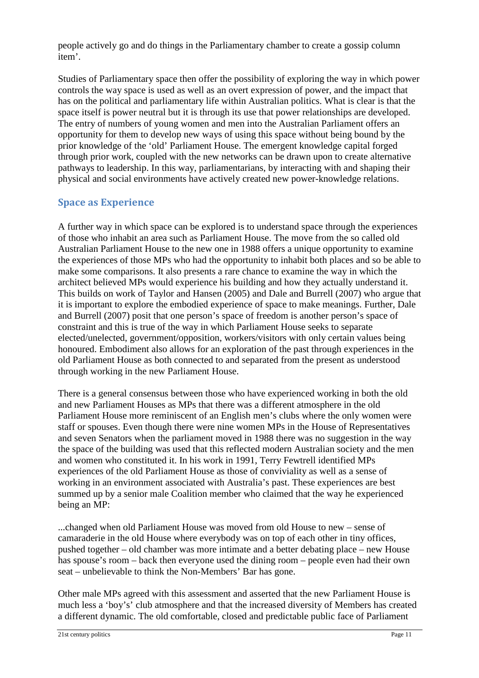people actively go and do things in the Parliamentary chamber to create a gossip column item'.

Studies of Parliamentary space then offer the possibility of exploring the way in which power controls the way space is used as well as an overt expression of power, and the impact that has on the political and parliamentary life within Australian politics. What is clear is that the space itself is power neutral but it is through its use that power relationships are developed. The entry of numbers of young women and men into the Australian Parliament offers an opportunity for them to develop new ways of using this space without being bound by the prior knowledge of the 'old' Parliament House. The emergent knowledge capital forged through prior work, coupled with the new networks can be drawn upon to create alternative pathways to leadership. In this way, parliamentarians, by interacting with and shaping their physical and social environments have actively created new power-knowledge relations.

### **Space as Experience**

A further way in which space can be explored is to understand space through the experiences of those who inhabit an area such as Parliament House. The move from the so called old Australian Parliament House to the new one in 1988 offers a unique opportunity to examine the experiences of those MPs who had the opportunity to inhabit both places and so be able to make some comparisons. It also presents a rare chance to examine the way in which the architect believed MPs would experience his building and how they actually understand it. This builds on work of Taylor and Hansen (2005) and Dale and Burrell (2007) who argue that it is important to explore the embodied experience of space to make meanings. Further, Dale and Burrell (2007) posit that one person's space of freedom is another person's space of constraint and this is true of the way in which Parliament House seeks to separate elected/unelected, government/opposition, workers/visitors with only certain values being honoured. Embodiment also allows for an exploration of the past through experiences in the old Parliament House as both connected to and separated from the present as understood through working in the new Parliament House.

There is a general consensus between those who have experienced working in both the old and new Parliament Houses as MPs that there was a different atmosphere in the old Parliament House more reminiscent of an English men's clubs where the only women were staff or spouses. Even though there were nine women MPs in the House of Representatives and seven Senators when the parliament moved in 1988 there was no suggestion in the way the space of the building was used that this reflected modern Australian society and the men and women who constituted it. In his work in 1991, Terry Fewtrell identified MPs experiences of the old Parliament House as those of conviviality as well as a sense of working in an environment associated with Australia's past. These experiences are best summed up by a senior male Coalition member who claimed that the way he experienced being an MP:

...changed when old Parliament House was moved from old House to new – sense of camaraderie in the old House where everybody was on top of each other in tiny offices, pushed together – old chamber was more intimate and a better debating place – new House has spouse's room – back then everyone used the dining room – people even had their own seat – unbelievable to think the Non-Members' Bar has gone.

Other male MPs agreed with this assessment and asserted that the new Parliament House is much less a 'boy's' club atmosphere and that the increased diversity of Members has created a different dynamic. The old comfortable, closed and predictable public face of Parliament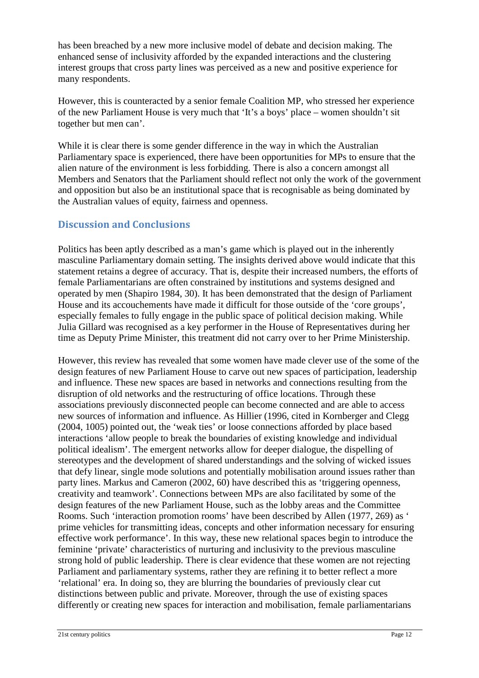has been breached by a new more inclusive model of debate and decision making. The enhanced sense of inclusivity afforded by the expanded interactions and the clustering interest groups that cross party lines was perceived as a new and positive experience for many respondents.

However, this is counteracted by a senior female Coalition MP, who stressed her experience of the new Parliament House is very much that 'It's a boys' place – women shouldn't sit together but men can'.

While it is clear there is some gender difference in the way in which the Australian Parliamentary space is experienced, there have been opportunities for MPs to ensure that the alien nature of the environment is less forbidding. There is also a concern amongst all Members and Senators that the Parliament should reflect not only the work of the government and opposition but also be an institutional space that is recognisable as being dominated by the Australian values of equity, fairness and openness.

### **Discussion and Conclusions**

Politics has been aptly described as a man's game which is played out in the inherently masculine Parliamentary domain setting. The insights derived above would indicate that this statement retains a degree of accuracy. That is, despite their increased numbers, the efforts of female Parliamentarians are often constrained by institutions and systems designed and operated by men (Shapiro 1984, 30). It has been demonstrated that the design of Parliament House and its accouchements have made it difficult for those outside of the 'core groups', especially females to fully engage in the public space of political decision making. While Julia Gillard was recognised as a key performer in the House of Representatives during her time as Deputy Prime Minister, this treatment did not carry over to her Prime Ministership.

However, this review has revealed that some women have made clever use of the some of the design features of new Parliament House to carve out new spaces of participation, leadership and influence. These new spaces are based in networks and connections resulting from the disruption of old networks and the restructuring of office locations. Through these associations previously disconnected people can become connected and are able to access new sources of information and influence. As Hillier (1996, cited in Kornberger and Clegg (2004, 1005) pointed out, the 'weak ties' or loose connections afforded by place based interactions 'allow people to break the boundaries of existing knowledge and individual political idealism'. The emergent networks allow for deeper dialogue, the dispelling of stereotypes and the development of shared understandings and the solving of wicked issues that defy linear, single mode solutions and potentially mobilisation around issues rather than party lines. Markus and Cameron (2002, 60) have described this as 'triggering openness, creativity and teamwork'. Connections between MPs are also facilitated by some of the design features of the new Parliament House, such as the lobby areas and the Committee Rooms. Such 'interaction promotion rooms' have been described by Allen (1977, 269) as ' prime vehicles for transmitting ideas, concepts and other information necessary for ensuring effective work performance'. In this way, these new relational spaces begin to introduce the feminine 'private' characteristics of nurturing and inclusivity to the previous masculine strong hold of public leadership. There is clear evidence that these women are not rejecting Parliament and parliamentary systems, rather they are refining it to better reflect a more 'relational' era. In doing so, they are blurring the boundaries of previously clear cut distinctions between public and private. Moreover, through the use of existing spaces differently or creating new spaces for interaction and mobilisation, female parliamentarians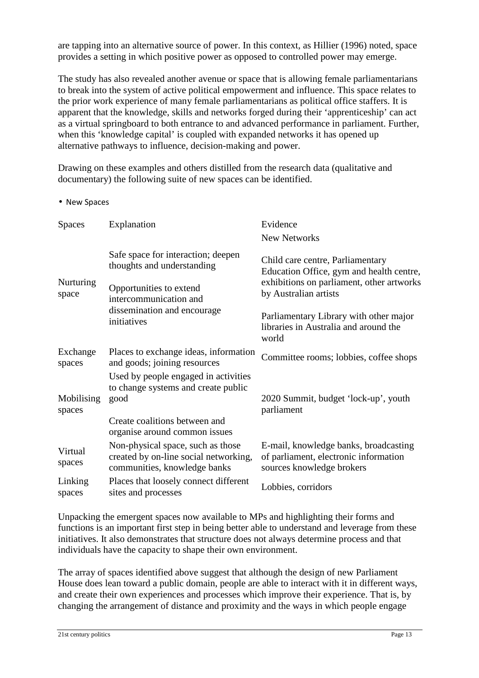are tapping into an alternative source of power. In this context, as Hillier (1996) noted, space provides a setting in which positive power as opposed to controlled power may emerge.

The study has also revealed another avenue or space that is allowing female parliamentarians to break into the system of active political empowerment and influence. This space relates to the prior work experience of many female parliamentarians as political office staffers. It is apparent that the knowledge, skills and networks forged during their 'apprenticeship' can act as a virtual springboard to both entrance to and advanced performance in parliament. Further, when this 'knowledge capital' is coupled with expanded networks it has opened up alternative pathways to influence, decision-making and power.

Drawing on these examples and others distilled from the research data (qualitative and documentary) the following suite of new spaces can be identified.

• New Spaces

| <b>Spaces</b>        | Explanation                                                                                                                                                         | Evidence<br>New Networks                                                                                                                           |  |
|----------------------|---------------------------------------------------------------------------------------------------------------------------------------------------------------------|----------------------------------------------------------------------------------------------------------------------------------------------------|--|
| Nurturing<br>space   | Safe space for interaction; deepen<br>thoughts and understanding<br>Opportunities to extend<br>intercommunication and<br>dissemination and encourage<br>initiatives | Child care centre, Parliamentary<br>Education Office, gym and health centre,<br>exhibitions on parliament, other artworks<br>by Australian artists |  |
|                      |                                                                                                                                                                     | Parliamentary Library with other major<br>libraries in Australia and around the<br>world                                                           |  |
| Exchange<br>spaces   | Places to exchange ideas, information<br>and goods; joining resources                                                                                               | Committee rooms; lobbies, coffee shops                                                                                                             |  |
| Mobilising<br>spaces | Used by people engaged in activities<br>to change systems and create public<br>good                                                                                 | 2020 Summit, budget 'lock-up', youth<br>parliament                                                                                                 |  |
|                      | Create coalitions between and<br>organise around common issues                                                                                                      |                                                                                                                                                    |  |
| Virtual<br>spaces    | Non-physical space, such as those<br>created by on-line social networking,<br>communities, knowledge banks                                                          | E-mail, knowledge banks, broadcasting<br>of parliament, electronic information<br>sources knowledge brokers                                        |  |
| Linking<br>spaces    | Places that loosely connect different<br>sites and processes                                                                                                        | Lobbies, corridors                                                                                                                                 |  |

Unpacking the emergent spaces now available to MPs and highlighting their forms and functions is an important first step in being better able to understand and leverage from these initiatives. It also demonstrates that structure does not always determine process and that individuals have the capacity to shape their own environment.

The array of spaces identified above suggest that although the design of new Parliament House does lean toward a public domain, people are able to interact with it in different ways, and create their own experiences and processes which improve their experience. That is, by changing the arrangement of distance and proximity and the ways in which people engage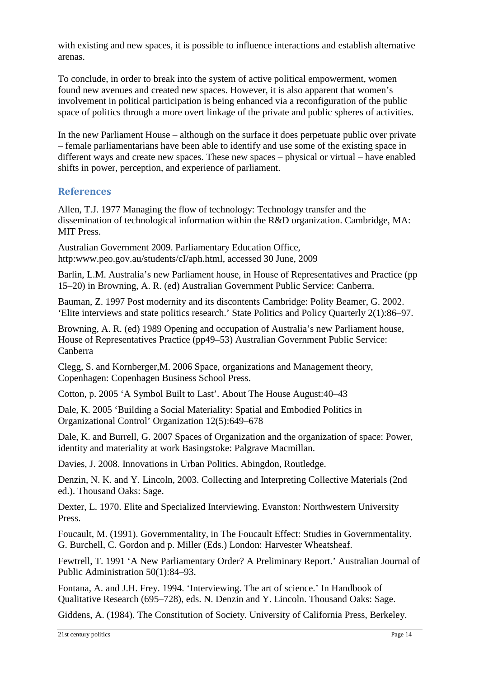with existing and new spaces, it is possible to influence interactions and establish alternative arenas.

To conclude, in order to break into the system of active political empowerment, women found new avenues and created new spaces. However, it is also apparent that women's involvement in political participation is being enhanced via a reconfiguration of the public space of politics through a more overt linkage of the private and public spheres of activities.

In the new Parliament House – although on the surface it does perpetuate public over private – female parliamentarians have been able to identify and use some of the existing space in different ways and create new spaces. These new spaces – physical or virtual – have enabled shifts in power, perception, and experience of parliament.

#### **References**

Allen, T.J. 1977 Managing the flow of technology: Technology transfer and the dissemination of technological information within the R&D organization. Cambridge, MA: MIT Press.

Australian Government 2009. Parliamentary Education Office, http:www.peo.gov.au/students/cI/aph.html, accessed 30 June, 2009

Barlin, L.M. Australia's new Parliament house, in House of Representatives and Practice (pp 15–20) in Browning, A. R. (ed) Australian Government Public Service: Canberra.

Bauman, Z. 1997 Post modernity and its discontents Cambridge: Polity Beamer, G. 2002. 'Elite interviews and state politics research.' State Politics and Policy Quarterly 2(1):86–97.

Browning, A. R. (ed) 1989 Opening and occupation of Australia's new Parliament house, House of Representatives Practice (pp49–53) Australian Government Public Service: Canberra

Clegg, S. and Kornberger,M. 2006 Space, organizations and Management theory, Copenhagen: Copenhagen Business School Press.

Cotton, p. 2005 'A Symbol Built to Last'. About The House August:40–43

Dale, K. 2005 'Building a Social Materiality: Spatial and Embodied Politics in Organizational Control' Organization 12(5):649–678

Dale, K. and Burrell, G. 2007 Spaces of Organization and the organization of space: Power, identity and materiality at work Basingstoke: Palgrave Macmillan.

Davies, J. 2008. Innovations in Urban Politics. Abingdon, Routledge.

Denzin, N. K. and Y. Lincoln, 2003. Collecting and Interpreting Collective Materials (2nd ed.). Thousand Oaks: Sage.

Dexter, L. 1970. Elite and Specialized Interviewing. Evanston: Northwestern University Press.

Foucault, M. (1991). Governmentality, in The Foucault Effect: Studies in Governmentality. G. Burchell, C. Gordon and p. Miller (Eds.) London: Harvester Wheatsheaf.

Fewtrell, T. 1991 'A New Parliamentary Order? A Preliminary Report.' Australian Journal of Public Administration 50(1):84–93.

Fontana, A. and J.H. Frey. 1994. 'Interviewing. The art of science.' In Handbook of Qualitative Research (695–728), eds. N. Denzin and Y. Lincoln. Thousand Oaks: Sage.

Giddens, A. (1984). The Constitution of Society. University of California Press, Berkeley.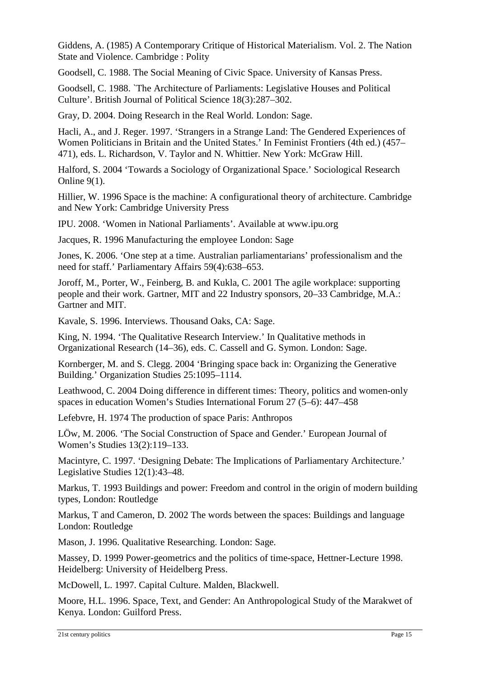Giddens, A. (1985) A Contemporary Critique of Historical Materialism. Vol. 2. The Nation State and Violence. Cambridge : Polity

Goodsell, C. 1988. The Social Meaning of Civic Space. University of Kansas Press.

Goodsell, C. 1988. `The Architecture of Parliaments: Legislative Houses and Political Culture'. British Journal of Political Science 18(3):287–302.

Gray, D. 2004. Doing Research in the Real World. London: Sage.

Hacli, A., and J. Reger. 1997. 'Strangers in a Strange Land: The Gendered Experiences of Women Politicians in Britain and the United States.' In Feminist Frontiers (4th ed.) (457– 471), eds. L. Richardson, V. Taylor and N. Whittier. New York: McGraw Hill.

Halford, S. 2004 'Towards a Sociology of Organizational Space.' Sociological Research Online 9(1).

Hillier, W. 1996 Space is the machine: A configurational theory of architecture. Cambridge and New York: Cambridge University Press

IPU. 2008. 'Women in National Parliaments'. Available at www.ipu.org

Jacques, R. 1996 Manufacturing the employee London: Sage

Jones, K. 2006. 'One step at a time. Australian parliamentarians' professionalism and the need for staff.' Parliamentary Affairs 59(4):638–653.

Joroff, M., Porter, W., Feinberg, B. and Kukla, C. 2001 The agile workplace: supporting people and their work. Gartner, MIT and 22 Industry sponsors, 20–33 Cambridge, M.A.: Gartner and MIT.

Kavale, S. 1996. Interviews. Thousand Oaks, CA: Sage.

King, N. 1994. 'The Qualitative Research Interview.' In Qualitative methods in Organizational Research (14–36), eds. C. Cassell and G. Symon. London: Sage.

Kornberger, M. and S. Clegg. 2004 'Bringing space back in: Organizing the Generative Building.' Organization Studies 25:1095–1114.

Leathwood, C. 2004 Doing difference in different times: Theory, politics and women-only spaces in education Women's Studies International Forum 27 (5–6): 447–458

Lefebvre, H. 1974 The production of space Paris: Anthropos

LÖw, M. 2006. 'The Social Construction of Space and Gender.' European Journal of Women's Studies 13(2):119–133.

Macintyre, C. 1997. 'Designing Debate: The Implications of Parliamentary Architecture.' Legislative Studies 12(1):43–48.

Markus, T. 1993 Buildings and power: Freedom and control in the origin of modern building types, London: Routledge

Markus, T and Cameron, D. 2002 The words between the spaces: Buildings and language London: Routledge

Mason, J. 1996. Qualitative Researching. London: Sage.

Massey, D. 1999 Power-geometrics and the politics of time-space, Hettner-Lecture 1998. Heidelberg: University of Heidelberg Press.

McDowell, L. 1997. Capital Culture. Malden, Blackwell.

Moore, H.L. 1996. Space, Text, and Gender: An Anthropological Study of the Marakwet of Kenya. London: Guilford Press.